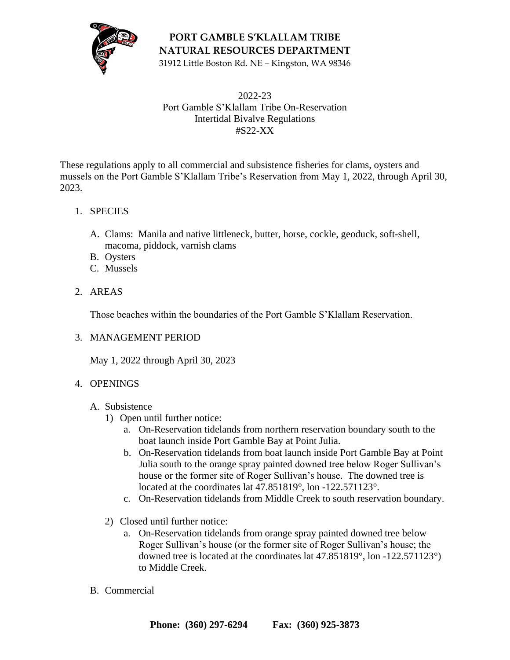

**PORT GAMBLE S'KLALLAM TRIBE NATURAL RESOURCES DEPARTMENT**

31912 Little Boston Rd. NE – Kingston, WA 98346

#### 2022-23 Port Gamble S'Klallam Tribe On-Reservation Intertidal Bivalve Regulations #S22-XX

These regulations apply to all commercial and subsistence fisheries for clams, oysters and mussels on the Port Gamble S'Klallam Tribe's Reservation from May 1, 2022, through April 30, 2023.

### 1. SPECIES

- A. Clams: Manila and native littleneck, butter, horse, cockle, geoduck, soft-shell, macoma, piddock, varnish clams
- B. Oysters
- C. Mussels
- 2. AREAS

Those beaches within the boundaries of the Port Gamble S'Klallam Reservation.

#### 3. MANAGEMENT PERIOD

May 1, 2022 through April 30, 2023

#### 4. OPENINGS

#### A. Subsistence

- 1) Open until further notice:
	- a. On-Reservation tidelands from northern reservation boundary south to the boat launch inside Port Gamble Bay at Point Julia.
	- b. On-Reservation tidelands from boat launch inside Port Gamble Bay at Point Julia south to the orange spray painted downed tree below Roger Sullivan's house or the former site of Roger Sullivan's house. The downed tree is located at the coordinates lat 47.851819°, lon -122.571123°.
	- c. On-Reservation tidelands from Middle Creek to south reservation boundary.
- 2) Closed until further notice:
	- a. On-Reservation tidelands from orange spray painted downed tree below Roger Sullivan's house (or the former site of Roger Sullivan's house; the downed tree is located at the coordinates lat 47.851819°, lon -122.571123°) to Middle Creek.
- B. Commercial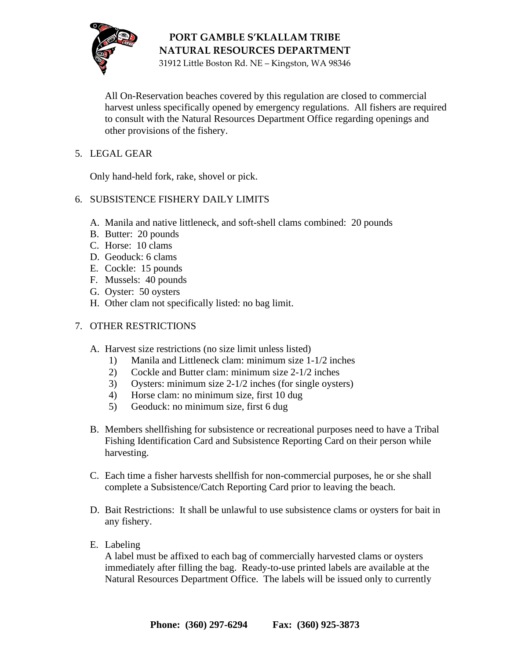

# **PORT GAMBLE S'KLALLAM TRIBE NATURAL RESOURCES DEPARTMENT**

31912 Little Boston Rd. NE – Kingston, WA 98346

All On-Reservation beaches covered by this regulation are closed to commercial harvest unless specifically opened by emergency regulations. All fishers are required to consult with the Natural Resources Department Office regarding openings and other provisions of the fishery.

# 5. LEGAL GEAR

Only hand-held fork, rake, shovel or pick.

#### 6. SUBSISTENCE FISHERY DAILY LIMITS

- A. Manila and native littleneck, and soft-shell clams combined: 20 pounds
- B. Butter: 20 pounds
- C. Horse: 10 clams
- D. Geoduck: 6 clams
- E. Cockle: 15 pounds
- F. Mussels: 40 pounds
- G. Oyster: 50 oysters
- H. Other clam not specifically listed: no bag limit.

# 7. OTHER RESTRICTIONS

- A. Harvest size restrictions (no size limit unless listed)
	- 1) Manila and Littleneck clam: minimum size 1-1/2 inches
	- 2) Cockle and Butter clam: minimum size 2-1/2 inches
	- 3) Oysters: minimum size 2-1/2 inches (for single oysters)
	- 4) Horse clam: no minimum size, first 10 dug
	- 5) Geoduck: no minimum size, first 6 dug
- B. Members shellfishing for subsistence or recreational purposes need to have a Tribal Fishing Identification Card and Subsistence Reporting Card on their person while harvesting.
- C. Each time a fisher harvests shellfish for non-commercial purposes, he or she shall complete a Subsistence/Catch Reporting Card prior to leaving the beach.
- D. Bait Restrictions: It shall be unlawful to use subsistence clams or oysters for bait in any fishery.
- E. Labeling

A label must be affixed to each bag of commercially harvested clams or oysters immediately after filling the bag. Ready-to-use printed labels are available at the Natural Resources Department Office. The labels will be issued only to currently